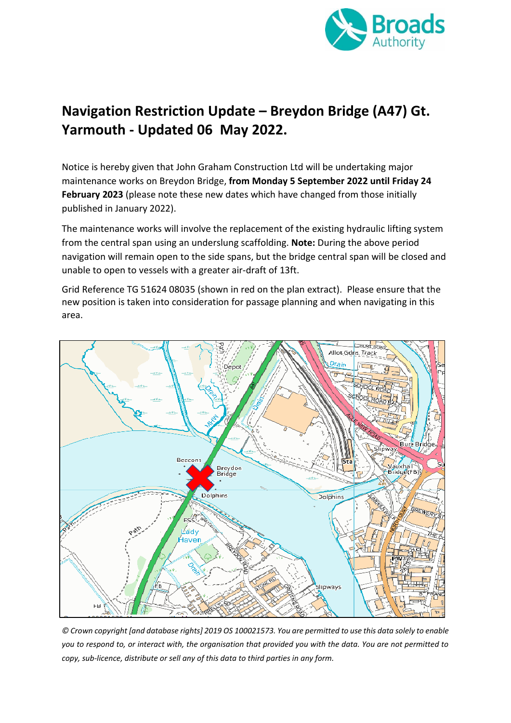

## **Navigation Restriction Update – Breydon Bridge (A47) Gt. Yarmouth - Updated 06 May 2022.**

Notice is hereby given that John Graham Construction Ltd will be undertaking major maintenance works on Breydon Bridge, **from Monday 5 September 2022 until Friday 24 February 2023** (please note these new dates which have changed from those initially published in January 2022).

The maintenance works will involve the replacement of the existing hydraulic lifting system from the central span using an underslung scaffolding. **Note:** During the above period navigation will remain open to the side spans, but the bridge central span will be closed and unable to open to vessels with a greater air-draft of 13ft.

Grid Reference TG 51624 08035 (shown in red on the plan extract). Please ensure that the new position is taken into consideration for passage planning and when navigating in this area.



*© Crown copyright [and database rights] 2019 OS 100021573. You are permitted to use this data solely to enable you to respond to, or interact with, the organisation that provided you with the data. You are not permitted to copy, sub-licence, distribute or sell any of this data to third parties in any form.*